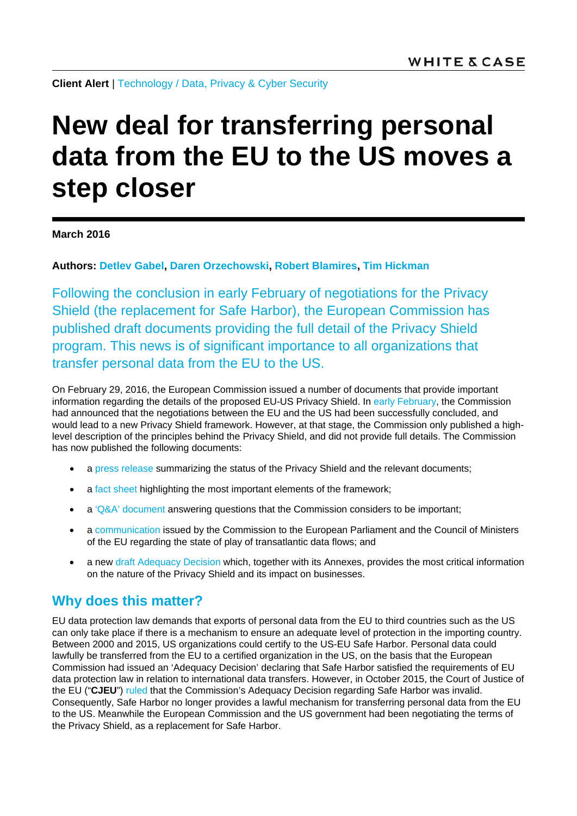**Client Alert** | [Technology](http://www.whitecase.com/law/industries/technology) / [Data, Privacy & Cyber Security](http://www.whitecase.com/law/practices/data-privacy-cyber-security)

# **New deal for transferring personal data from the EU to the US moves a step closer**

#### **March 2016**

**Authors: [Detlev Gabel,](http://www.whitecase.com/people/detlev-gabel) [Daren Orzechowski,](http://www.whitecase.com/people/daren-orzechowski) [Robert Blamires,](http://www.whitecase.com/people/robert-blamires) [Tim Hickman](http://www.whitecase.com/people/tim-hickman)**

Following the conclusion in early February of negotiations for the Privacy Shield (the replacement for Safe Harbor), the European Commission has published draft documents providing the full detail of the Privacy Shield program. This news is of significant importance to all organizations that transfer personal data from the EU to the US.

On February 29, 2016, the European Commission issued a number of documents that provide important information regarding the details of the proposed EU-US Privacy Shield. In [early February,](http://www.whitecase.com/publications/article/safe-harbor-dead-long-live-safe-harbor) the Commission had announced that the negotiations between the EU and the US had been successfully concluded, and would lead to a new Privacy Shield framework. However, at that stage, the Commission only published a highlevel description of the principles behind the Privacy Shield, and did not provide full details. The Commission has now published the following documents:

- a [press release](http://europa.eu/rapid/press-release_IP-16-433_en.htm) summarizing the status of the Privacy Shield and the relevant documents;
- a [fact sheet](http://ec.europa.eu/justice/data-protection/files/factsheets/factsheet_eu-us_privacy_shield_en.pdf) highlighting the most important elements of the framework;
- $a'Q&A'$  document answering questions that the Commission considers to be important;
- a [communication](http://ec.europa.eu/justice/data-protection/files/privacy-shield-adequacy-communication_en.pdf) issued by the Commission to the European Parliament and the Council of Ministers of the EU regarding the state of play of transatlantic data flows; and
- a new [draft Adequacy Decision](http://ec.europa.eu/justice/data-protection/files/privacy-shield-adequacy-decision_en.pdf) which, together with its Annexes, provides the most critical information on the nature of the Privacy Shield and its impact on businesses.

## **Why does this matter?**

EU data protection law demands that exports of personal data from the EU to third countries such as the US can only take place if there is a mechanism to ensure an adequate level of protection in the importing country. Between 2000 and 2015, US organizations could certify to the US-EU Safe Harbor. Personal data could lawfully be transferred from the EU to a certified organization in the US, on the basis that the European Commission had issued an 'Adequacy Decision' declaring that Safe Harbor satisfied the requirements of EU data protection law in relation to international data transfers. However, in October 2015, the Court of Justice of the EU ("**CJEU**") [ruled](http://curia.europa.eu/juris/document/document.jsf?docid=168421&doclang=EN) that the Commission's Adequacy Decision regarding Safe Harbor was invalid. Consequently, Safe Harbor no longer provides a lawful mechanism for transferring personal data from the EU to the US. Meanwhile the European Commission and the US government had been negotiating the terms of the Privacy Shield, as a replacement for Safe Harbor.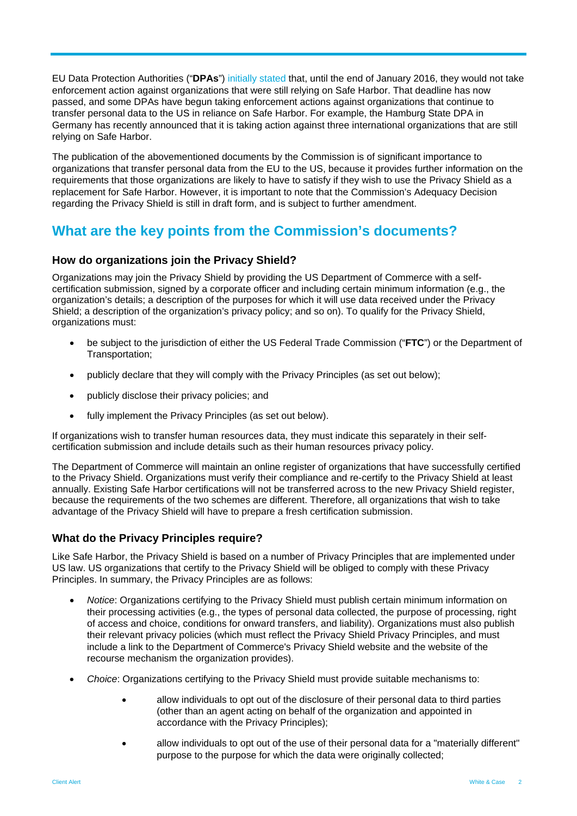EU Data Protection Authorities ("**DPAs**") [initially stated](http://ec.europa.eu/justice/data-protection/article-29/press-material/press-release/art29_press_material/2015/20151016_wp29_statement_on_schrems_judgement.pdf) that, until the end of January 2016, they would not take enforcement action against organizations that were still relying on Safe Harbor. That deadline has now passed, and some DPAs have begun taking enforcement actions against organizations that continue to transfer personal data to the US in reliance on Safe Harbor. For example, the Hamburg State DPA in Germany has recently announced that it is taking action against three international organizations that are still relying on Safe Harbor.

The publication of the abovementioned documents by the Commission is of significant importance to organizations that transfer personal data from the EU to the US, because it provides further information on the requirements that those organizations are likely to have to satisfy if they wish to use the Privacy Shield as a replacement for Safe Harbor. However, it is important to note that the Commission's Adequacy Decision regarding the Privacy Shield is still in draft form, and is subject to further amendment.

## **What are the key points from the Commission's documents?**

#### **How do organizations join the Privacy Shield?**

Organizations may join the Privacy Shield by providing the US Department of Commerce with a selfcertification submission, signed by a corporate officer and including certain minimum information (e.g., the organization's details; a description of the purposes for which it will use data received under the Privacy Shield; a description of the organization's privacy policy; and so on). To qualify for the Privacy Shield, organizations must:

- be subject to the jurisdiction of either the US Federal Trade Commission ("**FTC**") or the Department of Transportation;
- publicly declare that they will comply with the Privacy Principles (as set out below);
- publicly disclose their privacy policies; and
- fully implement the Privacy Principles (as set out below).

If organizations wish to transfer human resources data, they must indicate this separately in their selfcertification submission and include details such as their human resources privacy policy.

The Department of Commerce will maintain an online register of organizations that have successfully certified to the Privacy Shield. Organizations must verify their compliance and re-certify to the Privacy Shield at least annually. Existing Safe Harbor certifications will not be transferred across to the new Privacy Shield register, because the requirements of the two schemes are different. Therefore, all organizations that wish to take advantage of the Privacy Shield will have to prepare a fresh certification submission.

#### **What do the Privacy Principles require?**

Like Safe Harbor, the Privacy Shield is based on a number of Privacy Principles that are implemented under US law. US organizations that certify to the Privacy Shield will be obliged to comply with these Privacy Principles. In summary, the Privacy Principles are as follows:

- *Notice*: Organizations certifying to the Privacy Shield must publish certain minimum information on their processing activities (e.g., the types of personal data collected, the purpose of processing, right of access and choice, conditions for onward transfers, and liability). Organizations must also publish their relevant privacy policies (which must reflect the Privacy Shield Privacy Principles, and must include a link to the Department of Commerce's Privacy Shield website and the website of the recourse mechanism the organization provides).
- *Choice*: Organizations certifying to the Privacy Shield must provide suitable mechanisms to:
	- allow individuals to opt out of the disclosure of their personal data to third parties (other than an agent acting on behalf of the organization and appointed in accordance with the Privacy Principles);
	- allow individuals to opt out of the use of their personal data for a "materially different" purpose to the purpose for which the data were originally collected;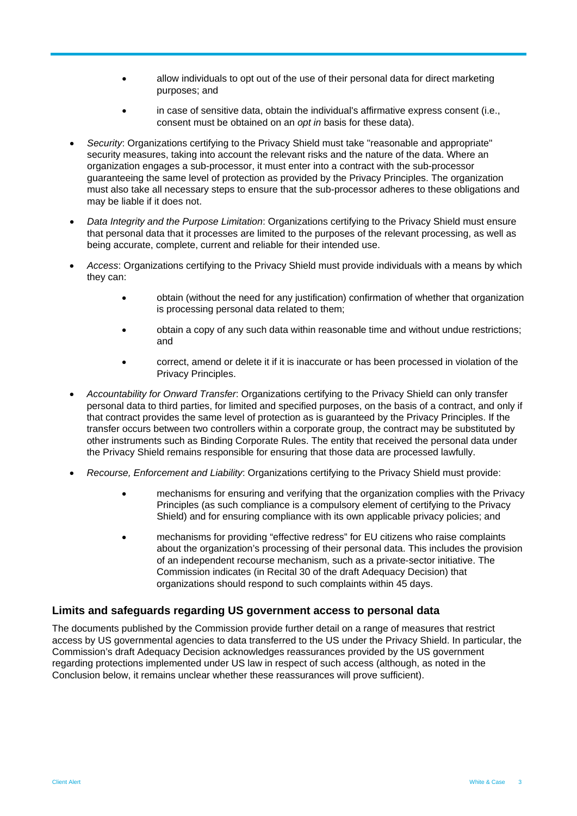- allow individuals to opt out of the use of their personal data for direct marketing purposes; and
- in case of sensitive data, obtain the individual's affirmative express consent (i.e., consent must be obtained on an *opt in* basis for these data).
- *Security*: Organizations certifying to the Privacy Shield must take "reasonable and appropriate" security measures, taking into account the relevant risks and the nature of the data. Where an organization engages a sub-processor, it must enter into a contract with the sub-processor guaranteeing the same level of protection as provided by the Privacy Principles. The organization must also take all necessary steps to ensure that the sub-processor adheres to these obligations and may be liable if it does not.
- *Data Integrity and the Purpose Limitation*: Organizations certifying to the Privacy Shield must ensure that personal data that it processes are limited to the purposes of the relevant processing, as well as being accurate, complete, current and reliable for their intended use.
- *Access*: Organizations certifying to the Privacy Shield must provide individuals with a means by which they can:
	- obtain (without the need for any justification) confirmation of whether that organization is processing personal data related to them;
	- obtain a copy of any such data within reasonable time and without undue restrictions; and
	- correct, amend or delete it if it is inaccurate or has been processed in violation of the Privacy Principles.
- *Accountability for Onward Transfer*: Organizations certifying to the Privacy Shield can only transfer personal data to third parties, for limited and specified purposes, on the basis of a contract, and only if that contract provides the same level of protection as is guaranteed by the Privacy Principles. If the transfer occurs between two controllers within a corporate group, the contract may be substituted by other instruments such as Binding Corporate Rules. The entity that received the personal data under the Privacy Shield remains responsible for ensuring that those data are processed lawfully.
- *Recourse, Enforcement and Liability*: Organizations certifying to the Privacy Shield must provide:
	- mechanisms for ensuring and verifying that the organization complies with the Privacy Principles (as such compliance is a compulsory element of certifying to the Privacy Shield) and for ensuring compliance with its own applicable privacy policies; and
	- mechanisms for providing "effective redress" for EU citizens who raise complaints about the organization's processing of their personal data. This includes the provision of an independent recourse mechanism, such as a private-sector initiative. The Commission indicates (in Recital 30 of the draft Adequacy Decision) that organizations should respond to such complaints within 45 days.

#### **Limits and safeguards regarding US government access to personal data**

The documents published by the Commission provide further detail on a range of measures that restrict access by US governmental agencies to data transferred to the US under the Privacy Shield. In particular, the Commission's draft Adequacy Decision acknowledges reassurances provided by the US government regarding protections implemented under US law in respect of such access (although, as noted in the Conclusion below, it remains unclear whether these reassurances will prove sufficient).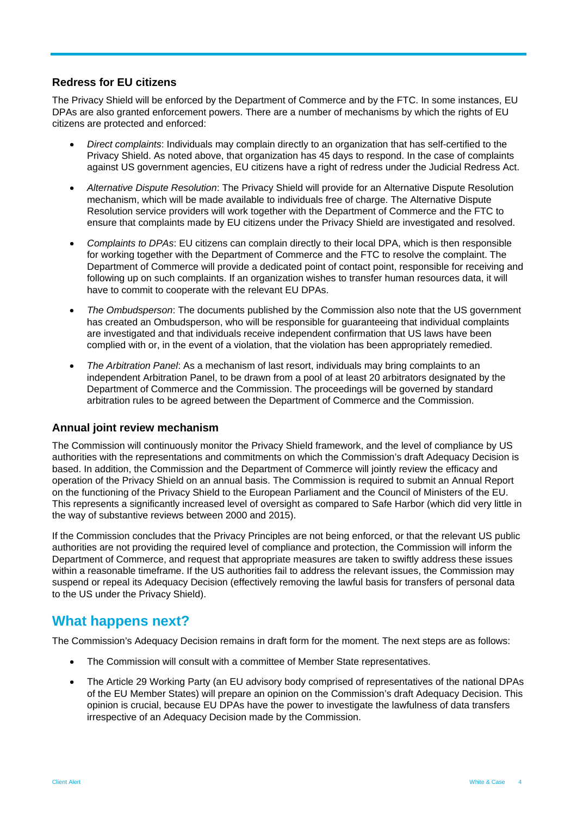#### **Redress for EU citizens**

The Privacy Shield will be enforced by the Department of Commerce and by the FTC. In some instances, EU DPAs are also granted enforcement powers. There are a number of mechanisms by which the rights of EU citizens are protected and enforced:

- *Direct complaints*: Individuals may complain directly to an organization that has self-certified to the Privacy Shield. As noted above, that organization has 45 days to respond. In the case of complaints against US government agencies, EU citizens have a right of redress under the Judicial Redress Act.
- *Alternative Dispute Resolution*: The Privacy Shield will provide for an Alternative Dispute Resolution mechanism, which will be made available to individuals free of charge. The Alternative Dispute Resolution service providers will work together with the Department of Commerce and the FTC to ensure that complaints made by EU citizens under the Privacy Shield are investigated and resolved.
- *Complaints to DPAs*: EU citizens can complain directly to their local DPA, which is then responsible for working together with the Department of Commerce and the FTC to resolve the complaint. The Department of Commerce will provide a dedicated point of contact point, responsible for receiving and following up on such complaints. If an organization wishes to transfer human resources data, it will have to commit to cooperate with the relevant EU DPAs.
- *The Ombudsperson*: The documents published by the Commission also note that the US government has created an Ombudsperson, who will be responsible for guaranteeing that individual complaints are investigated and that individuals receive independent confirmation that US laws have been complied with or, in the event of a violation, that the violation has been appropriately remedied.
- *The Arbitration Panel*: As a mechanism of last resort, individuals may bring complaints to an independent Arbitration Panel, to be drawn from a pool of at least 20 arbitrators designated by the Department of Commerce and the Commission. The proceedings will be governed by standard arbitration rules to be agreed between the Department of Commerce and the Commission.

#### **Annual joint review mechanism**

The Commission will continuously monitor the Privacy Shield framework, and the level of compliance by US authorities with the representations and commitments on which the Commission's draft Adequacy Decision is based. In addition, the Commission and the Department of Commerce will jointly review the efficacy and operation of the Privacy Shield on an annual basis. The Commission is required to submit an Annual Report on the functioning of the Privacy Shield to the European Parliament and the Council of Ministers of the EU. This represents a significantly increased level of oversight as compared to Safe Harbor (which did very little in the way of substantive reviews between 2000 and 2015).

If the Commission concludes that the Privacy Principles are not being enforced, or that the relevant US public authorities are not providing the required level of compliance and protection, the Commission will inform the Department of Commerce, and request that appropriate measures are taken to swiftly address these issues within a reasonable timeframe. If the US authorities fail to address the relevant issues, the Commission may suspend or repeal its Adequacy Decision (effectively removing the lawful basis for transfers of personal data to the US under the Privacy Shield).

### **What happens next?**

The Commission's Adequacy Decision remains in draft form for the moment. The next steps are as follows:

- The Commission will consult with a committee of Member State representatives.
- The Article 29 Working Party (an EU advisory body comprised of representatives of the national DPAs of the EU Member States) will prepare an opinion on the Commission's draft Adequacy Decision. This opinion is crucial, because EU DPAs have the power to investigate the lawfulness of data transfers irrespective of an Adequacy Decision made by the Commission.